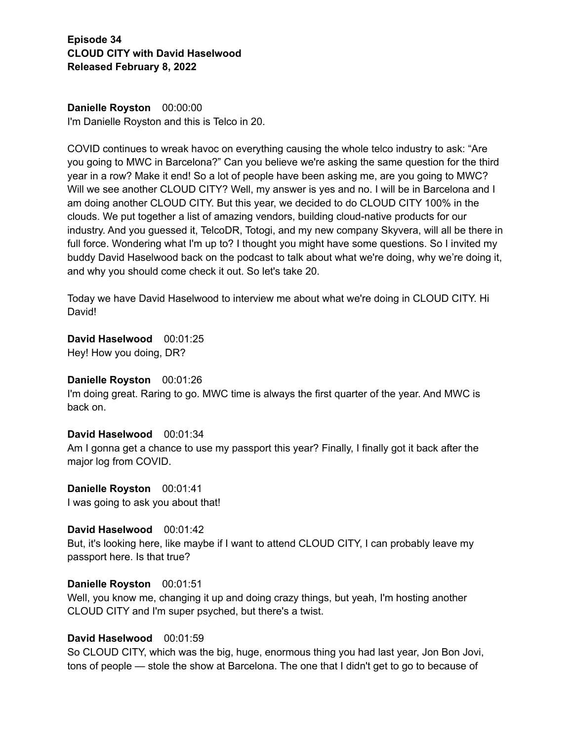**Danielle Royston** 00:00:00 I'm Danielle Royston and this is Telco in 20.

COVID continues to wreak havoc on everything causing the whole telco industry to ask: "Are you going to MWC in Barcelona?" Can you believe we're asking the same question for the third year in a row? Make it end! So a lot of people have been asking me, are you going to MWC? Will we see another CLOUD CITY? Well, my answer is yes and no. I will be in Barcelona and I am doing another CLOUD CITY. But this year, we decided to do CLOUD CITY 100% in the clouds. We put together a list of amazing vendors, building cloud-native products for our industry. And you guessed it, TelcoDR, Totogi, and my new company Skyvera, will all be there in full force. Wondering what I'm up to? I thought you might have some questions. So I invited my buddy David Haselwood back on the podcast to talk about what we're doing, why we're doing it, and why you should come check it out. So let's take 20.

Today we have David Haselwood to interview me about what we're doing in CLOUD CITY. Hi David!

**David Haselwood** 00:01:25 Hey! How you doing, DR?

#### **Danielle Royston** 00:01:26

I'm doing great. Raring to go. MWC time is always the first quarter of the year. And MWC is back on.

## **David Haselwood** 00:01:34

Am I gonna get a chance to use my passport this year? Finally, I finally got it back after the major log from COVID.

**Danielle Royston** 00:01:41 I was going to ask you about that!

**David Haselwood** 00:01:42 But, it's looking here, like maybe if I want to attend CLOUD CITY, I can probably leave my passport here. Is that true?

#### **Danielle Royston** 00:01:51

Well, you know me, changing it up and doing crazy things, but yeah, I'm hosting another CLOUD CITY and I'm super psyched, but there's a twist.

## **David Haselwood** 00:01:59

So CLOUD CITY, which was the big, huge, enormous thing you had last year, Jon Bon Jovi, tons of people — stole the show at Barcelona. The one that I didn't get to go to because of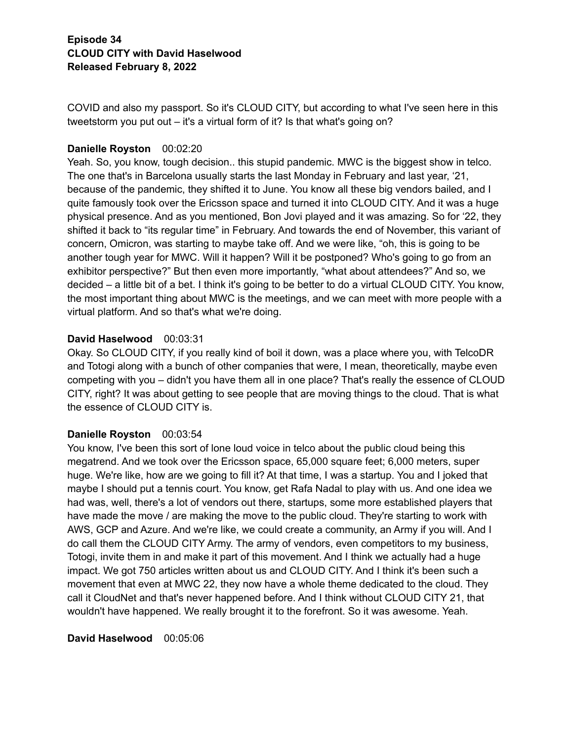COVID and also my passport. So it's CLOUD CITY, but according to what I've seen here in this tweetstorm you put out – it's a virtual form of it? Is that what's going on?

## **Danielle Royston** 00:02:20

Yeah. So, you know, tough decision.. this stupid pandemic. MWC is the biggest show in telco. The one that's in Barcelona usually starts the last Monday in February and last year, '21, because of the pandemic, they shifted it to June. You know all these big vendors bailed, and I quite famously took over the Ericsson space and turned it into CLOUD CITY. And it was a huge physical presence. And as you mentioned, Bon Jovi played and it was amazing. So for '22, they shifted it back to "its regular time" in February. And towards the end of November, this variant of concern, Omicron, was starting to maybe take off. And we were like, "oh, this is going to be another tough year for MWC. Will it happen? Will it be postponed? Who's going to go from an exhibitor perspective?" But then even more importantly, "what about attendees?" And so, we decided – a little bit of a bet. I think it's going to be better to do a virtual CLOUD CITY. You know, the most important thing about MWC is the meetings, and we can meet with more people with a virtual platform. And so that's what we're doing.

## **David Haselwood** 00:03:31

Okay. So CLOUD CITY, if you really kind of boil it down, was a place where you, with TelcoDR and Totogi along with a bunch of other companies that were, I mean, theoretically, maybe even competing with you – didn't you have them all in one place? That's really the essence of CLOUD CITY, right? It was about getting to see people that are moving things to the cloud. That is what the essence of CLOUD CITY is.

## **Danielle Royston** 00:03:54

You know, I've been this sort of lone loud voice in telco about the public cloud being this megatrend. And we took over the Ericsson space, 65,000 square feet; 6,000 meters, super huge. We're like, how are we going to fill it? At that time, I was a startup. You and I joked that maybe I should put a tennis court. You know, get Rafa Nadal to play with us. And one idea we had was, well, there's a lot of vendors out there, startups, some more established players that have made the move / are making the move to the public cloud. They're starting to work with AWS, GCP and Azure. And we're like, we could create a community, an Army if you will. And I do call them the CLOUD CITY Army. The army of vendors, even competitors to my business, Totogi, invite them in and make it part of this movement. And I think we actually had a huge impact. We got 750 articles written about us and CLOUD CITY. And I think it's been such a movement that even at MWC 22, they now have a whole theme dedicated to the cloud. They call it CloudNet and that's never happened before. And I think without CLOUD CITY 21, that wouldn't have happened. We really brought it to the forefront. So it was awesome. Yeah.

**David Haselwood** 00:05:06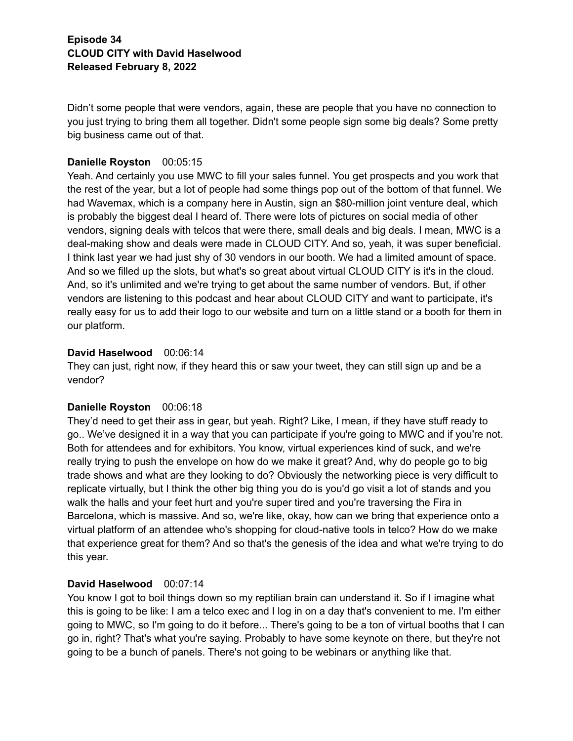Didn't some people that were vendors, again, these are people that you have no connection to you just trying to bring them all together. Didn't some people sign some big deals? Some pretty big business came out of that.

## **Danielle Royston** 00:05:15

Yeah. And certainly you use MWC to fill your sales funnel. You get prospects and you work that the rest of the year, but a lot of people had some things pop out of the bottom of that funnel. We had Wavemax, which is a company here in Austin, sign an \$80-million joint venture deal, which is probably the biggest deal I heard of. There were lots of pictures on social media of other vendors, signing deals with telcos that were there, small deals and big deals. I mean, MWC is a deal-making show and deals were made in CLOUD CITY. And so, yeah, it was super beneficial. I think last year we had just shy of 30 vendors in our booth. We had a limited amount of space. And so we filled up the slots, but what's so great about virtual CLOUD CITY is it's in the cloud. And, so it's unlimited and we're trying to get about the same number of vendors. But, if other vendors are listening to this podcast and hear about CLOUD CITY and want to participate, it's really easy for us to add their logo to our website and turn on a little stand or a booth for them in our platform.

## **David Haselwood** 00:06:14

They can just, right now, if they heard this or saw your tweet, they can still sign up and be a vendor?

# **Danielle Royston** 00:06:18

They'd need to get their ass in gear, but yeah. Right? Like, I mean, if they have stuff ready to go.. We've designed it in a way that you can participate if you're going to MWC and if you're not. Both for attendees and for exhibitors. You know, virtual experiences kind of suck, and we're really trying to push the envelope on how do we make it great? And, why do people go to big trade shows and what are they looking to do? Obviously the networking piece is very difficult to replicate virtually, but I think the other big thing you do is you'd go visit a lot of stands and you walk the halls and your feet hurt and you're super tired and you're traversing the Fira in Barcelona, which is massive. And so, we're like, okay, how can we bring that experience onto a virtual platform of an attendee who's shopping for cloud-native tools in telco? How do we make that experience great for them? And so that's the genesis of the idea and what we're trying to do this year.

## **David Haselwood** 00:07:14

You know I got to boil things down so my reptilian brain can understand it. So if I imagine what this is going to be like: I am a telco exec and I log in on a day that's convenient to me. I'm either going to MWC, so I'm going to do it before... There's going to be a ton of virtual booths that I can go in, right? That's what you're saying. Probably to have some keynote on there, but they're not going to be a bunch of panels. There's not going to be webinars or anything like that.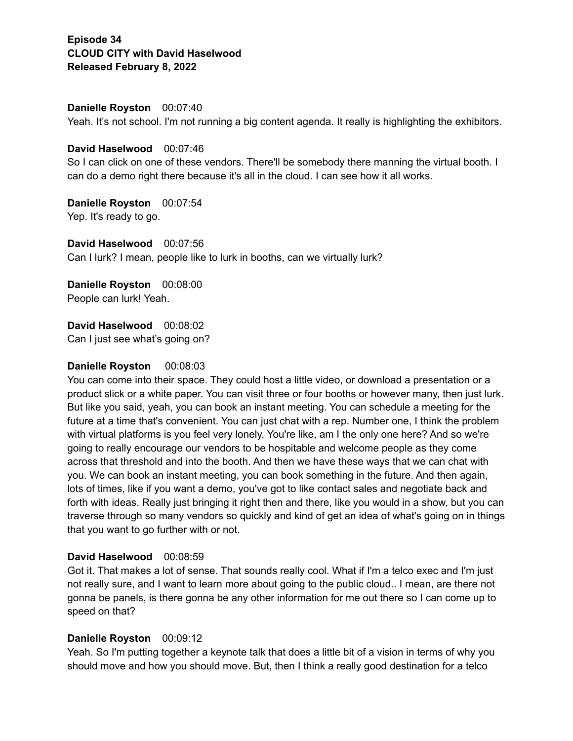**Danielle Royston** 00:07:40

Yeah. It's not school. I'm not running a big content agenda. It really is highlighting the exhibitors.

#### **David Haselwood** 00:07:46

So I can click on one of these vendors. There'll be somebody there manning the virtual booth. I can do a demo right there because it's all in the cloud. I can see how it all works.

**Danielle Royston** 00:07:54 Yep. It's ready to go.

**David Haselwood** 00:07:56 Can I lurk? I mean, people like to lurk in booths, can we virtually lurk?

**Danielle Royston** 00:08:00 People can lurk! Yeah.

**David Haselwood** 00:08:02 Can I just see what's going on?

#### **Danielle Royston** 00:08:03

You can come into their space. They could host a little video, or download a presentation or a product slick or a white paper. You can visit three or four booths or however many, then just lurk. But like you said, yeah, you can book an instant meeting. You can schedule a meeting for the future at a time that's convenient. You can just chat with a rep. Number one, I think the problem with virtual platforms is you feel very lonely. You're like, am I the only one here? And so we're going to really encourage our vendors to be hospitable and welcome people as they come across that threshold and into the booth. And then we have these ways that we can chat with you. We can book an instant meeting, you can book something in the future. And then again, lots of times, like if you want a demo, you've got to like contact sales and negotiate back and forth with ideas. Really just bringing it right then and there, like you would in a show, but you can traverse through so many vendors so quickly and kind of get an idea of what's going on in things that you want to go further with or not.

## **David Haselwood** 00:08:59

Got it. That makes a lot of sense. That sounds really cool. What if I'm a telco exec and I'm just not really sure, and I want to learn more about going to the public cloud.. I mean, are there not gonna be panels, is there gonna be any other information for me out there so I can come up to speed on that?

## **Danielle Royston** 00:09:12

Yeah. So I'm putting together a keynote talk that does a little bit of a vision in terms of why you should move and how you should move. But, then I think a really good destination for a telco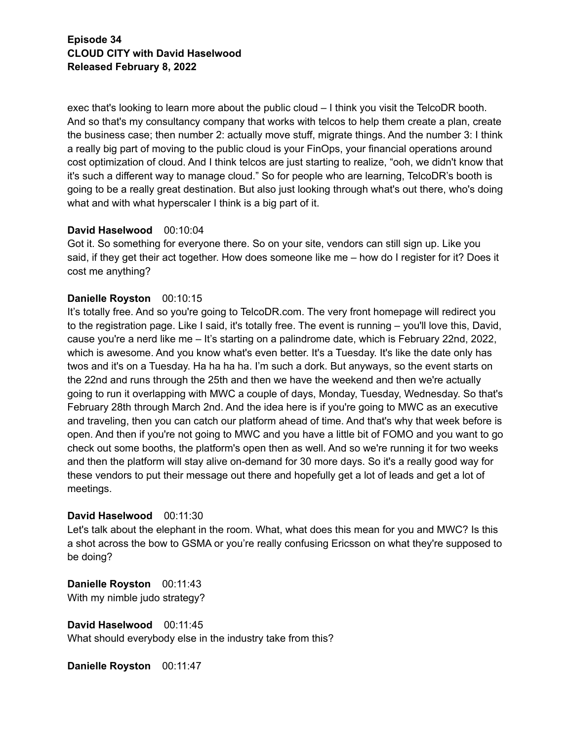exec that's looking to learn more about the public cloud – I think you visit the TelcoDR booth. And so that's my consultancy company that works with telcos to help them create a plan, create the business case; then number 2: actually move stuff, migrate things. And the number 3: I think a really big part of moving to the public cloud is your FinOps, your financial operations around cost optimization of cloud. And I think telcos are just starting to realize, "ooh, we didn't know that it's such a different way to manage cloud." So for people who are learning, TelcoDR's booth is going to be a really great destination. But also just looking through what's out there, who's doing what and with what hyperscaler I think is a big part of it.

## **David Haselwood** 00:10:04

Got it. So something for everyone there. So on your site, vendors can still sign up. Like you said, if they get their act together. How does someone like me – how do I register for it? Does it cost me anything?

## **Danielle Royston** 00:10:15

It's totally free. And so you're going to TelcoDR.com. The very front homepage will redirect you to the registration page. Like I said, it's totally free. The event is running – you'll love this, David, cause you're a nerd like me – It's starting on a palindrome date, which is February 22nd, 2022, which is awesome. And you know what's even better. It's a Tuesday. It's like the date only has twos and it's on a Tuesday. Ha ha ha ha. I'm such a dork. But anyways, so the event starts on the 22nd and runs through the 25th and then we have the weekend and then we're actually going to run it overlapping with MWC a couple of days, Monday, Tuesday, Wednesday. So that's February 28th through March 2nd. And the idea here is if you're going to MWC as an executive and traveling, then you can catch our platform ahead of time. And that's why that week before is open. And then if you're not going to MWC and you have a little bit of FOMO and you want to go check out some booths, the platform's open then as well. And so we're running it for two weeks and then the platform will stay alive on-demand for 30 more days. So it's a really good way for these vendors to put their message out there and hopefully get a lot of leads and get a lot of meetings.

## **David Haselwood** 00:11:30

Let's talk about the elephant in the room. What, what does this mean for you and MWC? Is this a shot across the bow to GSMA or you're really confusing Ericsson on what they're supposed to be doing?

**Danielle Royston** 00:11:43 With my nimble judo strategy?

**David Haselwood** 00:11:45 What should everybody else in the industry take from this?

**Danielle Royston** 00:11:47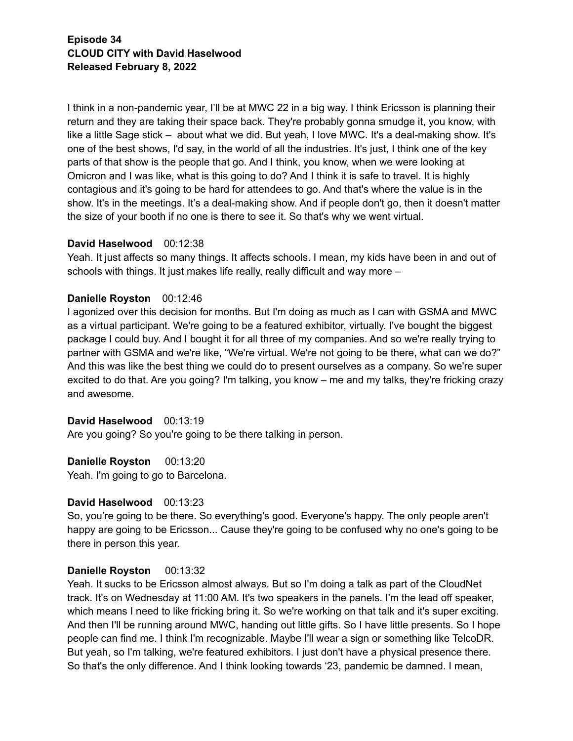I think in a non-pandemic year, I'll be at MWC 22 in a big way. I think Ericsson is planning their return and they are taking their space back. They're probably gonna smudge it, you know, with like a little Sage stick – about what we did. But yeah, I love MWC. It's a deal-making show. It's one of the best shows, I'd say, in the world of all the industries. It's just, I think one of the key parts of that show is the people that go. And I think, you know, when we were looking at Omicron and I was like, what is this going to do? And I think it is safe to travel. It is highly contagious and it's going to be hard for attendees to go. And that's where the value is in the show. It's in the meetings. It's a deal-making show. And if people don't go, then it doesn't matter the size of your booth if no one is there to see it. So that's why we went virtual.

## **David Haselwood** 00:12:38

Yeah. It just affects so many things. It affects schools. I mean, my kids have been in and out of schools with things. It just makes life really, really difficult and way more –

# **Danielle Royston** 00:12:46

I agonized over this decision for months. But I'm doing as much as I can with GSMA and MWC as a virtual participant. We're going to be a featured exhibitor, virtually. I've bought the biggest package I could buy. And I bought it for all three of my companies. And so we're really trying to partner with GSMA and we're like, "We're virtual. We're not going to be there, what can we do?" And this was like the best thing we could do to present ourselves as a company. So we're super excited to do that. Are you going? I'm talking, you know – me and my talks, they're fricking crazy and awesome.

## **David Haselwood** 00:13:19

Are you going? So you're going to be there talking in person.

**Danielle Royston** 00:13:20

Yeah. I'm going to go to Barcelona.

## **David Haselwood** 00:13:23

So, you're going to be there. So everything's good. Everyone's happy. The only people aren't happy are going to be Ericsson... Cause they're going to be confused why no one's going to be there in person this year.

# **Danielle Royston** 00:13:32

Yeah. It sucks to be Ericsson almost always. But so I'm doing a talk as part of the CloudNet track. It's on Wednesday at 11:00 AM. It's two speakers in the panels. I'm the lead off speaker, which means I need to like fricking bring it. So we're working on that talk and it's super exciting. And then I'll be running around MWC, handing out little gifts. So I have little presents. So I hope people can find me. I think I'm recognizable. Maybe I'll wear a sign or something like TelcoDR. But yeah, so I'm talking, we're featured exhibitors. I just don't have a physical presence there. So that's the only difference. And I think looking towards '23, pandemic be damned. I mean,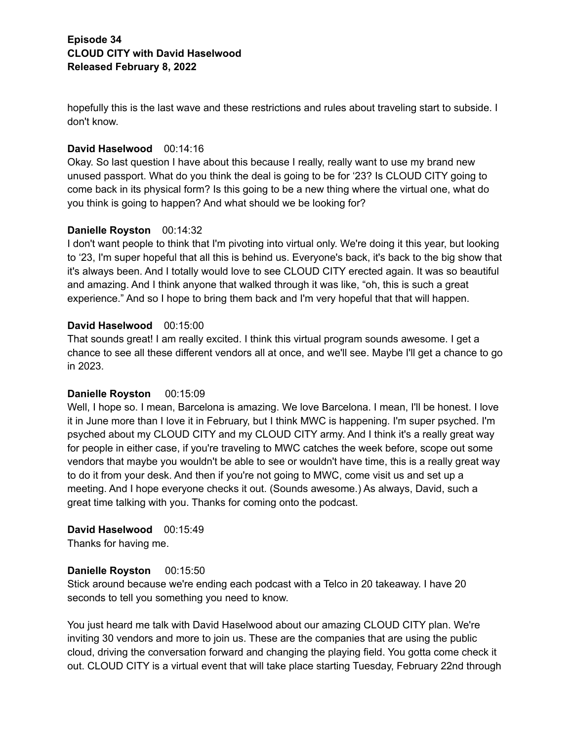hopefully this is the last wave and these restrictions and rules about traveling start to subside. I don't know.

## **David Haselwood** 00:14:16

Okay. So last question I have about this because I really, really want to use my brand new unused passport. What do you think the deal is going to be for '23? Is CLOUD CITY going to come back in its physical form? Is this going to be a new thing where the virtual one, what do you think is going to happen? And what should we be looking for?

## **Danielle Royston** 00:14:32

I don't want people to think that I'm pivoting into virtual only. We're doing it this year, but looking to '23, I'm super hopeful that all this is behind us. Everyone's back, it's back to the big show that it's always been. And I totally would love to see CLOUD CITY erected again. It was so beautiful and amazing. And I think anyone that walked through it was like, "oh, this is such a great experience." And so I hope to bring them back and I'm very hopeful that that will happen.

## **David Haselwood** 00:15:00

That sounds great! I am really excited. I think this virtual program sounds awesome. I get a chance to see all these different vendors all at once, and we'll see. Maybe I'll get a chance to go in 2023.

# **Danielle Royston** 00:15:09

Well, I hope so. I mean, Barcelona is amazing. We love Barcelona. I mean, I'll be honest. I love it in June more than I love it in February, but I think MWC is happening. I'm super psyched. I'm psyched about my CLOUD CITY and my CLOUD CITY army. And I think it's a really great way for people in either case, if you're traveling to MWC catches the week before, scope out some vendors that maybe you wouldn't be able to see or wouldn't have time, this is a really great way to do it from your desk. And then if you're not going to MWC, come visit us and set up a meeting. And I hope everyone checks it out. (Sounds awesome.) As always, David, such a great time talking with you. Thanks for coming onto the podcast.

# **David Haselwood** 00:15:49

Thanks for having me.

## **Danielle Royston** 00:15:50

Stick around because we're ending each podcast with a Telco in 20 takeaway. I have 20 seconds to tell you something you need to know.

You just heard me talk with David Haselwood about our amazing CLOUD CITY plan. We're inviting 30 vendors and more to join us. These are the companies that are using the public cloud, driving the conversation forward and changing the playing field. You gotta come check it out. CLOUD CITY is a virtual event that will take place starting Tuesday, February 22nd through